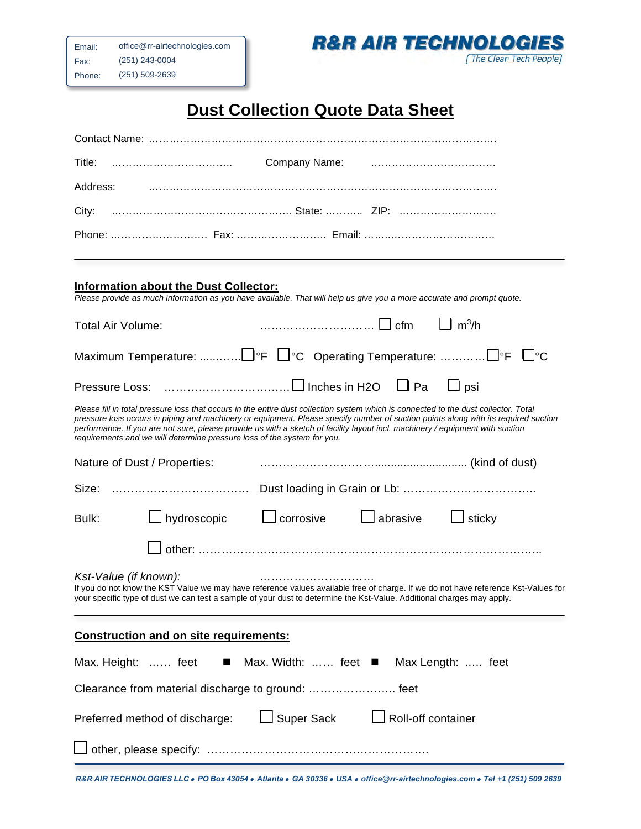

## **Dust Collection Quote Data Sheet**

| Title:                                                                                                                                                                                                                                                                                                                                                                                                                                                                                |  |  |  |
|---------------------------------------------------------------------------------------------------------------------------------------------------------------------------------------------------------------------------------------------------------------------------------------------------------------------------------------------------------------------------------------------------------------------------------------------------------------------------------------|--|--|--|
| Address:                                                                                                                                                                                                                                                                                                                                                                                                                                                                              |  |  |  |
| City:                                                                                                                                                                                                                                                                                                                                                                                                                                                                                 |  |  |  |
|                                                                                                                                                                                                                                                                                                                                                                                                                                                                                       |  |  |  |
| <b>Information about the Dust Collector:</b><br>Please provide as much information as you have available. That will help us give you a more accurate and prompt quote.                                                                                                                                                                                                                                                                                                                |  |  |  |
|                                                                                                                                                                                                                                                                                                                                                                                                                                                                                       |  |  |  |
| $\Box$ m <sup>3</sup> /h<br><b>Total Air Volume:</b>                                                                                                                                                                                                                                                                                                                                                                                                                                  |  |  |  |
|                                                                                                                                                                                                                                                                                                                                                                                                                                                                                       |  |  |  |
| $\Box$ psi                                                                                                                                                                                                                                                                                                                                                                                                                                                                            |  |  |  |
| Please fill in total pressure loss that occurs in the entire dust collection system which is connected to the dust collector. Total<br>pressure loss occurs in piping and machinery or equipment. Please specify number of suction points along with its required suction<br>performance. If you are not sure, please provide us with a sketch of facility layout incl. machinery / equipment with suction<br>requirements and we will determine pressure loss of the system for you. |  |  |  |
| Nature of Dust / Properties:                                                                                                                                                                                                                                                                                                                                                                                                                                                          |  |  |  |
| Size:                                                                                                                                                                                                                                                                                                                                                                                                                                                                                 |  |  |  |
| $\Box$ corrosive $\Box$ abrasive $\Box$ sticky<br>$\Box$ hydroscopic<br>Bulk:                                                                                                                                                                                                                                                                                                                                                                                                         |  |  |  |
|                                                                                                                                                                                                                                                                                                                                                                                                                                                                                       |  |  |  |
| Kst-Value (if known):<br>If you do not know the KST Value we may have reference values available free of charge. If we do not have reference Kst-Values for<br>your specific type of dust we can test a sample of your dust to determine the Kst-Value. Additional charges may apply.                                                                                                                                                                                                 |  |  |  |
| <b>Construction and on site requirements:</b>                                                                                                                                                                                                                                                                                                                                                                                                                                         |  |  |  |
| ■ Max. Width:  feet ■ Max Length:  feet<br>Max. Height:  feet                                                                                                                                                                                                                                                                                                                                                                                                                         |  |  |  |
| Clearance from material discharge to ground:  feet                                                                                                                                                                                                                                                                                                                                                                                                                                    |  |  |  |
| Super Sack<br>$\Box$ Roll-off container<br>Preferred method of discharge:                                                                                                                                                                                                                                                                                                                                                                                                             |  |  |  |
|                                                                                                                                                                                                                                                                                                                                                                                                                                                                                       |  |  |  |

*R&R AIR TECHNOLOGIES LLC* • *PO Box 43054* • *Atlanta* • *GA 30336* • *USA* • *office@rr-airtechnologies.com* • *Tel +1 (251) 509 2639*